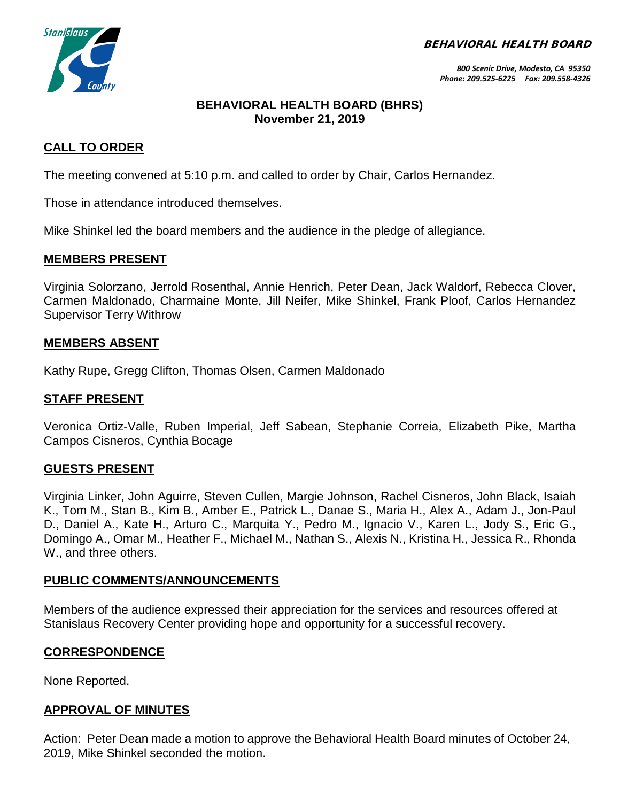BEHAVIORAL HEALTH BOARD



*800 Scenic Drive, Modesto, CA 95350 Phone: 209.525-6225 Fax: 209.558-4326*

### **BEHAVIORAL HEALTH BOARD (BHRS) November 21, 2019**

### **CALL TO ORDER**

The meeting convened at 5:10 p.m. and called to order by Chair, Carlos Hernandez.

Those in attendance introduced themselves.

Mike Shinkel led the board members and the audience in the pledge of allegiance.

### **MEMBERS PRESENT**

Virginia Solorzano, Jerrold Rosenthal, Annie Henrich, Peter Dean, Jack Waldorf, Rebecca Clover, Carmen Maldonado, Charmaine Monte, Jill Neifer, Mike Shinkel, Frank Ploof, Carlos Hernandez Supervisor Terry Withrow

### **MEMBERS ABSENT**

Kathy Rupe, Gregg Clifton, Thomas Olsen, Carmen Maldonado

### **STAFF PRESENT**

Veronica Ortiz-Valle, Ruben Imperial, Jeff Sabean, Stephanie Correia, Elizabeth Pike, Martha Campos Cisneros, Cynthia Bocage

#### **GUESTS PRESENT**

Virginia Linker, John Aguirre, Steven Cullen, Margie Johnson, Rachel Cisneros, John Black, Isaiah K., Tom M., Stan B., Kim B., Amber E., Patrick L., Danae S., Maria H., Alex A., Adam J., Jon-Paul D., Daniel A., Kate H., Arturo C., Marquita Y., Pedro M., Ignacio V., Karen L., Jody S., Eric G., Domingo A., Omar M., Heather F., Michael M., Nathan S., Alexis N., Kristina H., Jessica R., Rhonda W., and three others.

#### **PUBLIC COMMENTS/ANNOUNCEMENTS**

Members of the audience expressed their appreciation for the services and resources offered at Stanislaus Recovery Center providing hope and opportunity for a successful recovery.

### **CORRESPONDENCE**

None Reported.

### **APPROVAL OF MINUTES**

Action: Peter Dean made a motion to approve the Behavioral Health Board minutes of October 24, 2019, Mike Shinkel seconded the motion.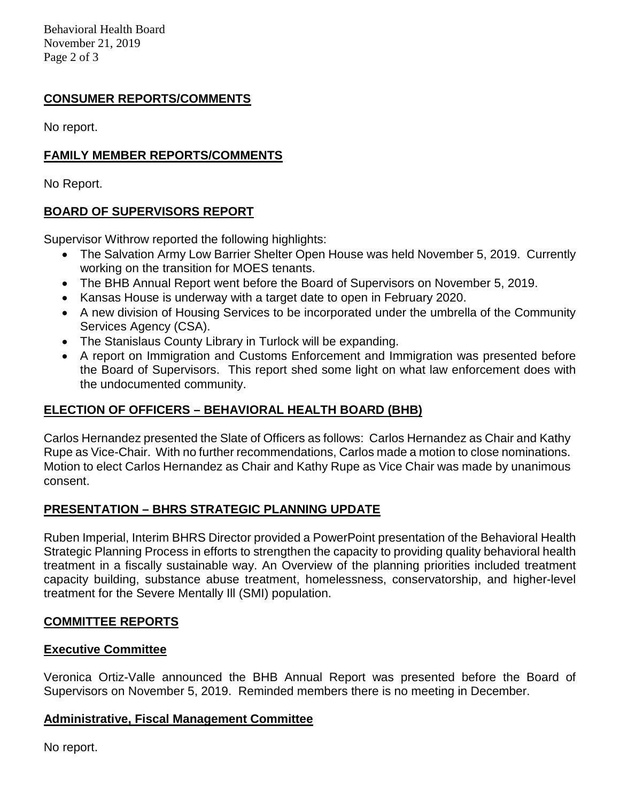Behavioral Health Board November 21, 2019 Page 2 of 3

# **CONSUMER REPORTS/COMMENTS**

No report.

# **FAMILY MEMBER REPORTS/COMMENTS**

No Report.

# **BOARD OF SUPERVISORS REPORT**

Supervisor Withrow reported the following highlights:

- The Salvation Army Low Barrier Shelter Open House was held November 5, 2019. Currently working on the transition for MOES tenants.
- The BHB Annual Report went before the Board of Supervisors on November 5, 2019.
- Kansas House is underway with a target date to open in February 2020.
- A new division of Housing Services to be incorporated under the umbrella of the Community Services Agency (CSA).
- The Stanislaus County Library in Turlock will be expanding.
- A report on Immigration and Customs Enforcement and Immigration was presented before the Board of Supervisors. This report shed some light on what law enforcement does with the undocumented community.

### **ELECTION OF OFFICERS – BEHAVIORAL HEALTH BOARD (BHB)**

Carlos Hernandez presented the Slate of Officers as follows: Carlos Hernandez as Chair and Kathy Rupe as Vice-Chair. With no further recommendations, Carlos made a motion to close nominations. Motion to elect Carlos Hernandez as Chair and Kathy Rupe as Vice Chair was made by unanimous consent.

# **PRESENTATION – BHRS STRATEGIC PLANNING UPDATE**

Ruben Imperial, Interim BHRS Director provided a PowerPoint presentation of the Behavioral Health Strategic Planning Process in efforts to strengthen the capacity to providing quality behavioral health treatment in a fiscally sustainable way. An Overview of the planning priorities included treatment capacity building, substance abuse treatment, homelessness, conservatorship, and higher-level treatment for the Severe Mentally Ill (SMI) population.

### **COMMITTEE REPORTS**

### **Executive Committee**

Veronica Ortiz-Valle announced the BHB Annual Report was presented before the Board of Supervisors on November 5, 2019. Reminded members there is no meeting in December.

### **Administrative, Fiscal Management Committee**

No report.